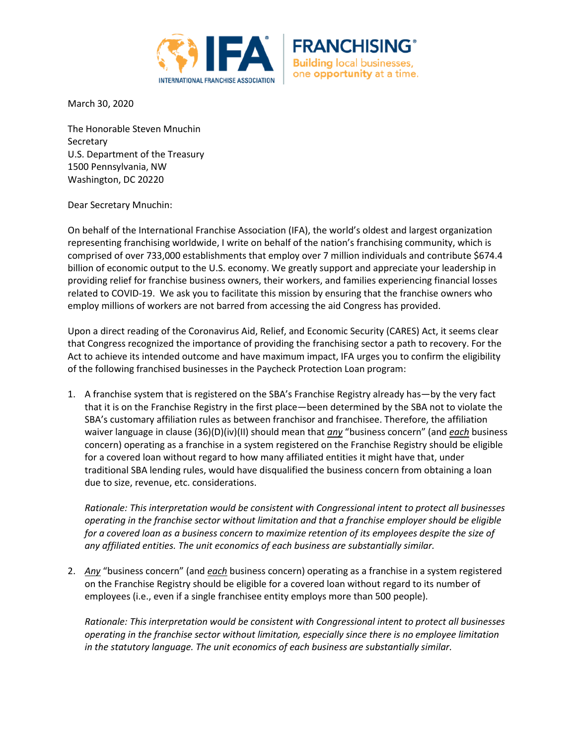



March 30, 2020

The Honorable Steven Mnuchin **Secretary** U.S. Department of the Treasury 1500 Pennsylvania, NW Washington, DC 20220

Dear Secretary Mnuchin:

On behalf of the International Franchise Association (IFA), the world's oldest and largest organization representing franchising worldwide, I write on behalf of the nation's franchising community, which is comprised of over 733,000 establishments that employ over 7 million individuals and contribute \$674.4 billion of economic output to the U.S. economy. We greatly support and appreciate your leadership in providing relief for franchise business owners, their workers, and families experiencing financial losses related to COVID-19. We ask you to facilitate this mission by ensuring that the franchise owners who employ millions of workers are not barred from accessing the aid Congress has provided.

Upon a direct reading of the Coronavirus Aid, Relief, and Economic Security (CARES) Act, it seems clear that Congress recognized the importance of providing the franchising sector a path to recovery. For the Act to achieve its intended outcome and have maximum impact, IFA urges you to confirm the eligibility of the following franchised businesses in the Paycheck Protection Loan program:

1. A franchise system that is registered on the SBA's Franchise Registry already has—by the very fact that it is on the Franchise Registry in the first place—been determined by the SBA not to violate the SBA's customary affiliation rules as between franchisor and franchisee. Therefore, the affiliation waiver language in clause (36)(D)(iv)(II) should mean that *any* "business concern" (and *each* business concern) operating as a franchise in a system registered on the Franchise Registry should be eligible for a covered loan without regard to how many affiliated entities it might have that, under traditional SBA lending rules, would have disqualified the business concern from obtaining a loan due to size, revenue, etc. considerations.

*Rationale: This interpretation would be consistent with Congressional intent to protect all businesses operating in the franchise sector without limitation and that a franchise employer should be eligible for a covered loan as a business concern to maximize retention of its employees despite the size of any affiliated entities. The unit economics of each business are substantially similar.*

2. *Any* "business concern" (and *each* business concern) operating as a franchise in a system registered on the Franchise Registry should be eligible for a covered loan without regard to its number of employees (i.e., even if a single franchisee entity employs more than 500 people).

*Rationale: This interpretation would be consistent with Congressional intent to protect all businesses operating in the franchise sector without limitation, especially since there is no employee limitation in the statutory language. The unit economics of each business are substantially similar.*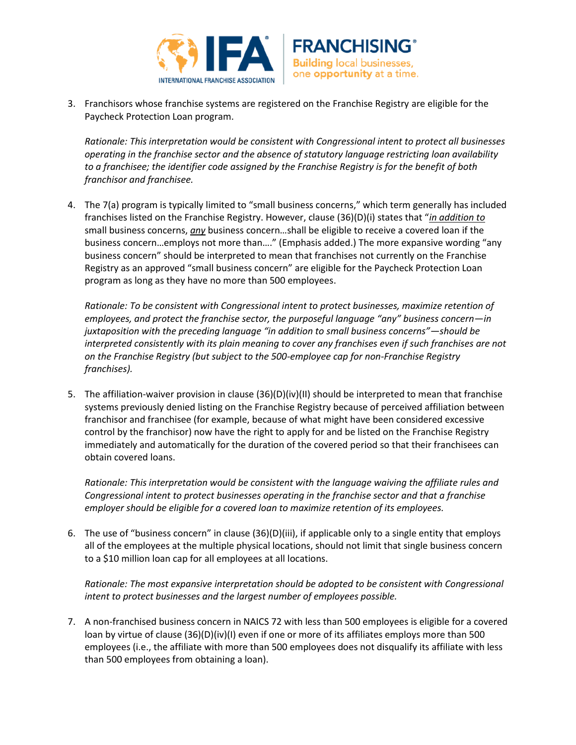



3. Franchisors whose franchise systems are registered on the Franchise Registry are eligible for the Paycheck Protection Loan program.

*Rationale: This interpretation would be consistent with Congressional intent to protect all businesses operating in the franchise sector and the absence of statutory language restricting loan availability to a franchisee; the identifier code assigned by the Franchise Registry is for the benefit of both franchisor and franchisee.*

4. The 7(a) program is typically limited to "small business concerns," which term generally has included franchises listed on the Franchise Registry. However, clause (36)(D)(i) states that "*in addition to* small business concerns, *any* business concern…shall be eligible to receive a covered loan if the business concern…employs not more than…." (Emphasis added.) The more expansive wording "any business concern" should be interpreted to mean that franchises not currently on the Franchise Registry as an approved "small business concern" are eligible for the Paycheck Protection Loan program as long as they have no more than 500 employees.

*Rationale: To be consistent with Congressional intent to protect businesses, maximize retention of employees, and protect the franchise sector, the purposeful language "any" business concern—in juxtaposition with the preceding language "in addition to small business concerns"—should be interpreted consistently with its plain meaning to cover any franchises even if such franchises are not on the Franchise Registry (but subject to the 500-employee cap for non-Franchise Registry franchises).* 

5. The affiliation-waiver provision in clause (36)(D)(iv)(II) should be interpreted to mean that franchise systems previously denied listing on the Franchise Registry because of perceived affiliation between franchisor and franchisee (for example, because of what might have been considered excessive control by the franchisor) now have the right to apply for and be listed on the Franchise Registry immediately and automatically for the duration of the covered period so that their franchisees can obtain covered loans.

*Rationale: This interpretation would be consistent with the language waiving the affiliate rules and Congressional intent to protect businesses operating in the franchise sector and that a franchise employer should be eligible for a covered loan to maximize retention of its employees.*

6. The use of "business concern" in clause (36)(D)(iii), if applicable only to a single entity that employs all of the employees at the multiple physical locations, should not limit that single business concern to a \$10 million loan cap for all employees at all locations.

*Rationale: The most expansive interpretation should be adopted to be consistent with Congressional intent to protect businesses and the largest number of employees possible.*

7. A non-franchised business concern in NAICS 72 with less than 500 employees is eligible for a covered loan by virtue of clause (36)(D)(iv)(I) even if one or more of its affiliates employs more than 500 employees (i.e., the affiliate with more than 500 employees does not disqualify its affiliate with less than 500 employees from obtaining a loan).